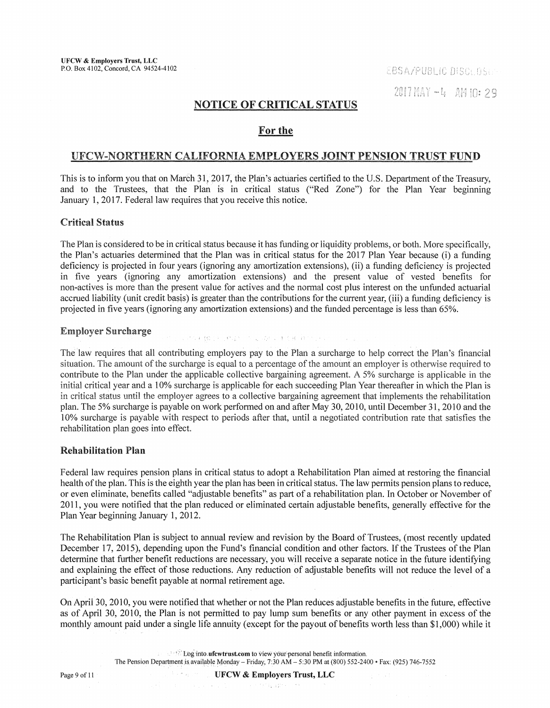# NOTICE OF CRITICAL STATUS

# For the

# UFCW-NORTHERN CALIFORNIA EMPLOYERS JOINT PENSION TRUST FUND

This is to inform you that on March 31, 2017, the Plan's actuaries certified to the U.S. Department of the Treasury, and to the Trustees, that the Plan is in critical status ("Red Zone") for the Plan Year beginning January 1, 2017. Federal law requires that you receive this notice.

## Critical Status

The Plan is considered to be in critical status because it has funding or liquidity problems, or both. More specifically, the Plan's actuaries determined that the Plan was in critical status for the 2017 Plan Year because (i) a funding deficiency is projected in four years (ignoring any amortization extensions), (ii) a funding deficiency is projected in five years (ignoring any amortization extensions) and the present value of vested benefits for non-actives is more than the present value for actives and the normal cost plus interest on the unfunded actuarial accrued liability (unit credit basis) is greater than the contributions for the current year, (iii) a funding deficiency is projected in five years (ignoring any amortization extensions) and the funded percentage is less than 65%.

#### Employer Surcharge

この中に数で行ったほど、ここにの中に生きると身についます。

The law requires that all contributing employers pay to the Plan a surcharge to help correct the Plan's financial situation. The amount of the surcharge is equal to a percentage of the amount an employer is otherwise required to contribute to the Plan under the applicable collective bargaining agreement. A 5% surcharge is applicable in the initial critical year and a 10% surcharge is applicable for each succeeding Plan Year thereafter in which the Plan is in critical status until the employer agrees to a collective bargaining agreement that implements the rehabilitation plan. The 5% surcharge is payable on work performed on and after May 30, 2010, until December 31, 2010 and the 10% surcharge is payable with respect to periods after that, until a negotiated contribution rate that satisfies the rehabilitation plan goes into effect.

## Rehabilitation Plan

Federal law requires pension plans in critical status to adopt a Rehabilitation Plan aimed at restoring the financial health of the plan. This is the eighth year the plan has been in critical status. The law permits pension plans to reduce, or even eliminate, benefits called "adjustable benefits" as part of a rehabilitation plan. In October or November of 2011, you were notified that the plan reduced or eliminated certain adjustable benefits, generally effective for the Plan Year beginning January 1, 2012.

The Rehabilitation Plan is subject to annual review and revision by the Board of Trustees, (most recently updated December 17, 2015), depending upon the Fund's financial condition and other factors. If the Trustees of the Plan determine that further benefit reductions are necessary, you will receive a separate notice in the future identifying and explaining the effect of those reductions. Any reduction of adjustable benefits will hot reduce the level of a participant's basic benefit payable at normal retirement age.

On Aprii 30, 2010, you were notified that whether or not the Plan reduces adjustable benefits in the future, effective as of April 30, 2010, the Plan is not permitted to pay lump sum benefits or any other payment in excess of the monthly amount paid under a single life annuity (except for the payout of benefits worth less than \$1,000) while it

> ·. ' *•,':* l.bginto.ufcwtrust;com to view y6ur'1Jersorial benefit information. The Pension Department is available Monday – Friday,  $7:30$  AM  $- 5:30$  PM at (800) 552-2400 • Fax: (925) 746-7552